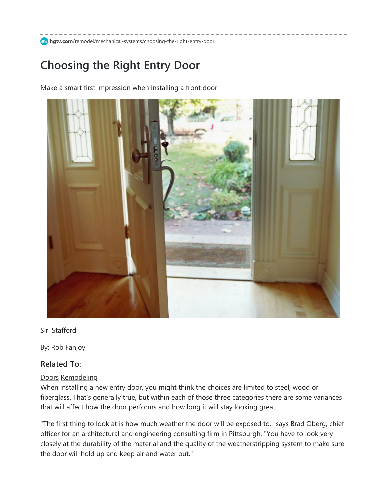**hgtv.com**[/remodel/mechanical-systems/choosing-the-right-entry-door](https://www.hgtv.com/remodel/mechanical-systems/choosing-the-right-entry-door)

## **Choosing the Right Entry Door**

Make a smart first impression when installing a front door.



Siri Stafford

By: Rob Fanjoy

## **Related To:**

## [Doors](https://www.hgtv.com/design/topics/doors) [Remodeling](https://www.hgtv.com/remodel/topics/remodeling)

When installing a new entry door, you might think the choices are limited to steel, wood or fiberglass. That's generally true, but within each of those three categories there are some variances that will affect how the door performs and how long it will stay looking great.

"The first thing to look at is how much weather the door will be exposed to," says Brad Oberg, chief officer for an architectural and engineering consulting firm in Pittsburgh. "You have to look very closely at the durability of the material and the quality of the weatherstripping system to make sure the door will hold up and keep air and water out."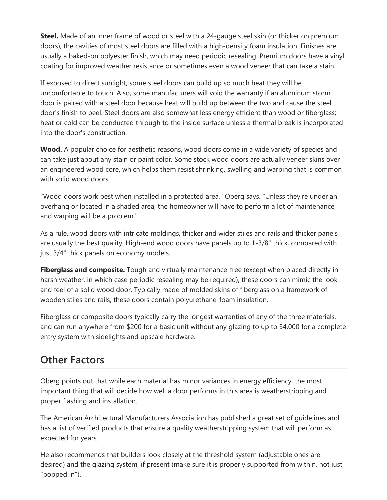**Steel.** Made of an inner frame of wood or steel with a 24-gauge steel skin (or thicker on premium doors), the cavities of most steel doors are filled with a high-density foam insulation. Finishes are usually a baked-on polyester finish, which may need periodic resealing. Premium doors have a vinyl coating for improved weather resistance or sometimes even a wood veneer that can take a stain.

If exposed to direct sunlight, some steel doors can build up so much heat they will be uncomfortable to touch. Also, some manufacturers will void the warranty if an aluminum storm door is paired with a steel door because heat will build up between the two and cause the steel door's finish to peel. Steel doors are also somewhat less energy efficient than wood or fiberglass; heat or cold can be conducted through to the inside surface unless a thermal break is incorporated into the door's construction.

**Wood.** A popular choice for aesthetic reasons, wood doors come in a wide variety of species and can take just about any stain or paint color. Some stock wood doors are actually veneer skins over an engineered wood core, which helps them resist shrinking, swelling and warping that is common with solid wood doors.

"Wood doors work best when installed in a protected area," Oberg says. "Unless they're under an overhang or located in a shaded area, the homeowner will have to perform a lot of maintenance, and warping will be a problem."

As a rule, wood doors with intricate moldings, thicker and wider stiles and rails and thicker panels are usually the best quality. High-end wood doors have panels up to 1-3/8" thick, compared with just 3/4" thick panels on economy models.

**Fiberglass and composite.** Tough and virtually maintenance-free (except when placed directly in harsh weather, in which case periodic resealing may be required), these doors can mimic the look and feel of a solid wood door. Typically made of molded skins of fiberglass on a framework of wooden stiles and rails, these doors contain polyurethane-foam insulation.

Fiberglass or composite doors typically carry the longest warranties of any of the three materials, and can run anywhere from \$200 for a basic unit without any glazing to up to \$4,000 for a complete entry system with sidelights and upscale hardware.

## **Other Factors**

Oberg points out that while each material has minor variances in energy efficiency, the most important thing that will decide how well a door performs in this area is weatherstripping and proper flashing and installation.

The American Architectural Manufacturers Association has published a great set of guidelines and has a list of verified products that ensure a quality weatherstripping system that will perform as expected for years.

He also recommends that builders look closely at the threshold system (adjustable ones are desired) and the glazing system, if present (make sure it is properly supported from within, not just "popped in").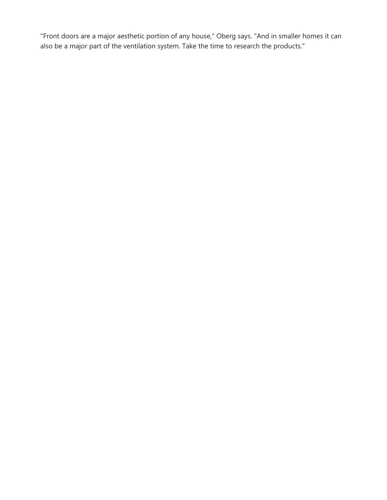"Front doors are a major aesthetic portion of any house," Oberg says. "And in smaller homes it can also be a major part of the ventilation system. Take the time to research the products."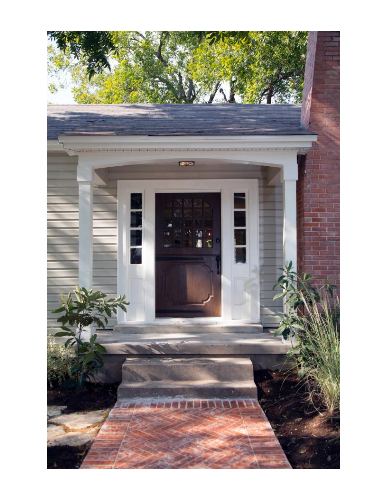